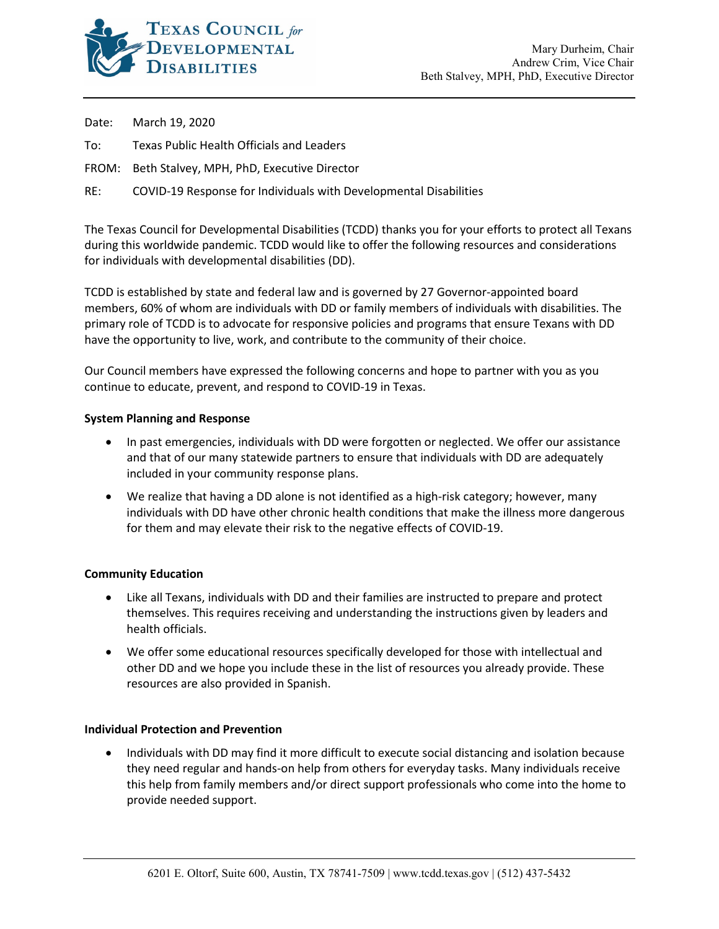

Date: March 19, 2020

- To: Texas Public Health Officials and Leaders
- FROM: Beth Stalvey, MPH, PhD, Executive Director
- RE: COVID-19 Response for Individuals with Developmental Disabilities

The Texas Council for Developmental Disabilities (TCDD) thanks you for your efforts to protect all Texans during this worldwide pandemic. TCDD would like to offer the following resources and considerations for individuals with developmental disabilities (DD).

TCDD is established by state and federal law and is governed by 27 Governor-appointed board members, 60% of whom are individuals with DD or family members of individuals with disabilities. The primary role of TCDD is to advocate for responsive policies and programs that ensure Texans with DD have the opportunity to live, work, and contribute to the community of their choice.

Our Council members have expressed the following concerns and hope to partner with you as you continue to educate, prevent, and respond to COVID-19 in Texas.

### **System Planning and Response**

- In past emergencies, individuals with DD were forgotten or neglected. We offer our assistance and that of our many statewide partners to ensure that individuals with DD are adequately included in your community response plans.
- We realize that having a DD alone is not identified as a high-risk category; however, many individuals with DD have other chronic health conditions that make the illness more dangerous for them and may elevate their risk to the negative effects of COVID-19.

#### **Community Education**

- Like all Texans, individuals with DD and their families are instructed to prepare and protect themselves. This requires receiving and understanding the instructions given by leaders and health officials.
- We offer some educational resources specifically developed for those with intellectual and other DD and we hope you include these in the list of resources you already provide. These resources are also provided in Spanish.

#### **Individual Protection and Prevention**

• Individuals with DD may find it more difficult to execute social distancing and isolation because they need regular and hands-on help from others for everyday tasks. Many individuals receive this help from family members and/or direct support professionals who come into the home to provide needed support.